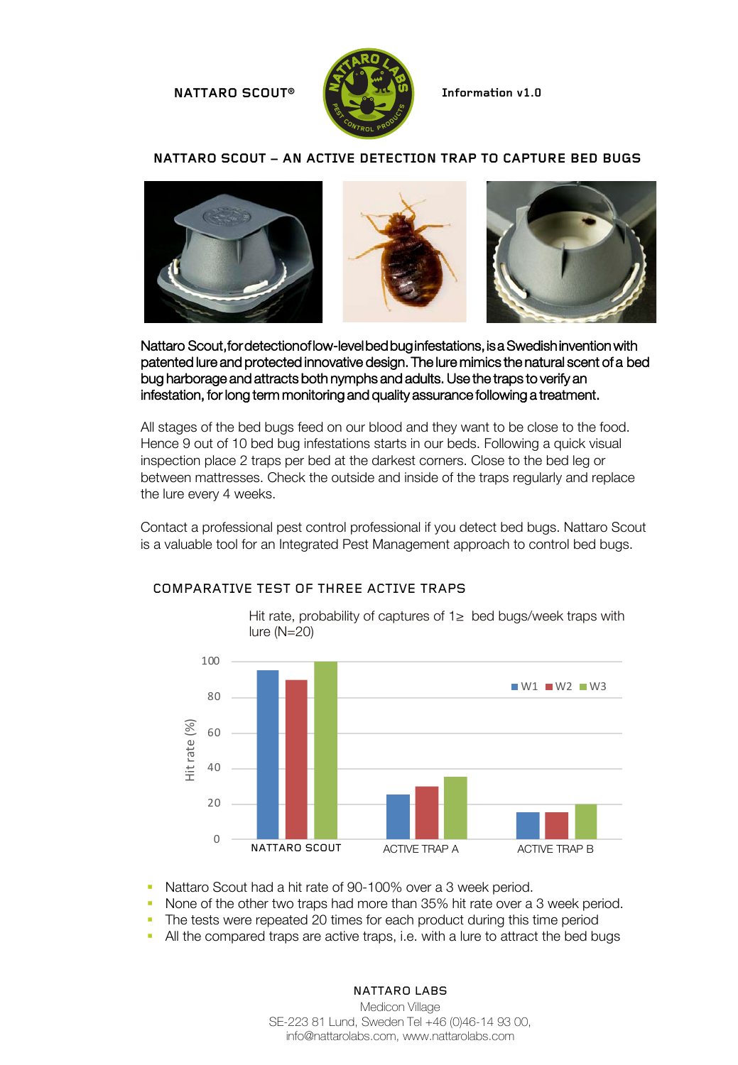#### **NATTARO SCOUT® Information v1.0**



#### **NATTARO SCOUT – AN ACTIVE DETECTION TRAP TO CAPTURE BED BUGS**



Nattaro Scout, for detection of low-level bed bug infestations, is a Swedish invention with patented lure and protected innovative design. The lure mimics the natural scent of a bed bug harborage and attracts both nymphs and adults. Use the traps to verify an infestation, for long term monitoring and quality assurance following a treatment.

All stages of the bed bugs feed on our blood and they want to be close to the food. Hence 9 out of 10 bed bug infestations starts in our beds. Following a quick visual inspection place 2 traps per bed at the darkest corners. Close to the bed leg or between mattresses. Check the outside and inside of the traps regularly and replace the lure every 4 weeks.

Contact a professional pest control professional if you detect bed bugs. Nattaro Scout is a valuable tool for an Integrated Pest Management approach to control bed bugs.



## COMPARATIVE TEST OF THREE ACTIVE TRAPS

■ Nattaro Scout had a hit rate of 90-100% over a 3 week period.

• None of the other two traps had more than 35% hit rate over a 3 week period.

• The tests were repeated 20 times for each product during this time period

• All the compared traps are active traps, i.e. with a lure to attract the bed bugs

NATTARO LABS Medicon Village SE-223 81 Lund, Sweden Tel +46 (0)46-14 93 00, info@nattarolabs.com, www.nattarolabs.com